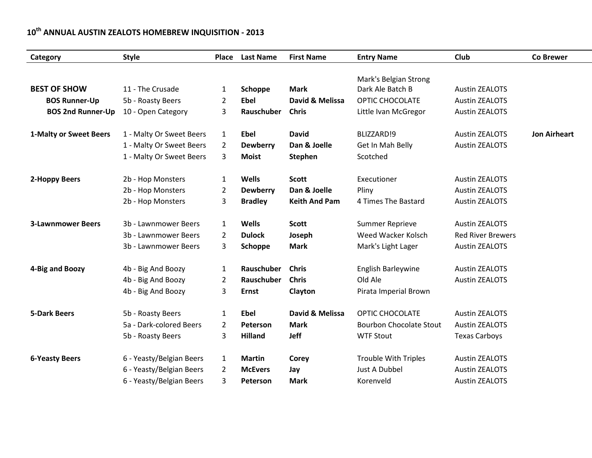## **10th ANNUAL AUSTIN ZEALOTS HOMEBREW INQUISITION - 2013**

| Category                 | <b>Style</b>             | Place          | <b>Last Name</b> | <b>First Name</b>    | <b>Entry Name</b>              | Club                     | <b>Co Brewer</b>    |
|--------------------------|--------------------------|----------------|------------------|----------------------|--------------------------------|--------------------------|---------------------|
|                          |                          |                |                  |                      |                                |                          |                     |
|                          |                          |                |                  |                      | Mark's Belgian Strong          |                          |                     |
| <b>BEST OF SHOW</b>      | 11 - The Crusade         | $\mathbf{1}$   | Schoppe          | <b>Mark</b>          | Dark Ale Batch B               | <b>Austin ZEALOTS</b>    |                     |
| <b>BOS Runner-Up</b>     | 5b - Roasty Beers        | 2              | <b>Ebel</b>      | David & Melissa      | OPTIC CHOCOLATE                | <b>Austin ZEALOTS</b>    |                     |
| <b>BOS 2nd Runner-Up</b> | 10 - Open Category       | 3              | Rauschuber       | <b>Chris</b>         | Little Ivan McGregor           | <b>Austin ZEALOTS</b>    |                     |
| 1-Malty or Sweet Beers   | 1 - Malty Or Sweet Beers | $\mathbf{1}$   | <b>Ebel</b>      | <b>David</b>         | BLIZZARD!9                     | <b>Austin ZEALOTS</b>    | <b>Jon Airheart</b> |
|                          | 1 - Malty Or Sweet Beers | 2              | <b>Dewberry</b>  | Dan & Joelle         | Get In Mah Belly               | <b>Austin ZEALOTS</b>    |                     |
|                          | 1 - Malty Or Sweet Beers | 3              | <b>Moist</b>     | Stephen              | Scotched                       |                          |                     |
| 2-Hoppy Beers            | 2b - Hop Monsters        | 1              | <b>Wells</b>     | <b>Scott</b>         | Executioner                    | <b>Austin ZEALOTS</b>    |                     |
|                          | 2b - Hop Monsters        | 2              | <b>Dewberry</b>  | Dan & Joelle         | Pliny                          | <b>Austin ZEALOTS</b>    |                     |
|                          | 2b - Hop Monsters        | 3              | <b>Bradley</b>   | <b>Keith And Pam</b> | 4 Times The Bastard            | <b>Austin ZEALOTS</b>    |                     |
| <b>3-Lawnmower Beers</b> | 3b - Lawnmower Beers     | 1              | <b>Wells</b>     | <b>Scott</b>         | Summer Reprieve                | <b>Austin ZEALOTS</b>    |                     |
|                          | 3b - Lawnmower Beers     | 2              | <b>Dulock</b>    | Joseph               | Weed Wacker Kolsch             | <b>Red River Brewers</b> |                     |
|                          | 3b - Lawnmower Beers     | 3              | Schoppe          | <b>Mark</b>          | Mark's Light Lager             | <b>Austin ZEALOTS</b>    |                     |
| 4-Big and Boozy          | 4b - Big And Boozy       | 1              | Rauschuber       | <b>Chris</b>         | English Barleywine             | <b>Austin ZEALOTS</b>    |                     |
|                          | 4b - Big And Boozy       | 2              | Rauschuber       | <b>Chris</b>         | Old Ale                        | <b>Austin ZEALOTS</b>    |                     |
|                          | 4b - Big And Boozy       | 3              | <b>Ernst</b>     | Clayton              | Pirata Imperial Brown          |                          |                     |
| <b>5-Dark Beers</b>      | 5b - Roasty Beers        | 1              | <b>Ebel</b>      | David & Melissa      | OPTIC CHOCOLATE                | <b>Austin ZEALOTS</b>    |                     |
|                          | 5a - Dark-colored Beers  | $\overline{2}$ | Peterson         | <b>Mark</b>          | <b>Bourbon Chocolate Stout</b> | <b>Austin ZEALOTS</b>    |                     |
|                          | 5b - Roasty Beers        | 3              | <b>Hilland</b>   | <b>Jeff</b>          | <b>WTF Stout</b>               | <b>Texas Carboys</b>     |                     |
| <b>6-Yeasty Beers</b>    | 6 - Yeasty/Belgian Beers | $\mathbf{1}$   | <b>Martin</b>    | Corey                | <b>Trouble With Triples</b>    | <b>Austin ZEALOTS</b>    |                     |
|                          | 6 - Yeasty/Belgian Beers | $\overline{2}$ | <b>McEvers</b>   | Jay                  | <b>Just A Dubbel</b>           | <b>Austin ZEALOTS</b>    |                     |
|                          | 6 - Yeasty/Belgian Beers | 3              | Peterson         | <b>Mark</b>          | Korenveld                      | <b>Austin ZEALOTS</b>    |                     |